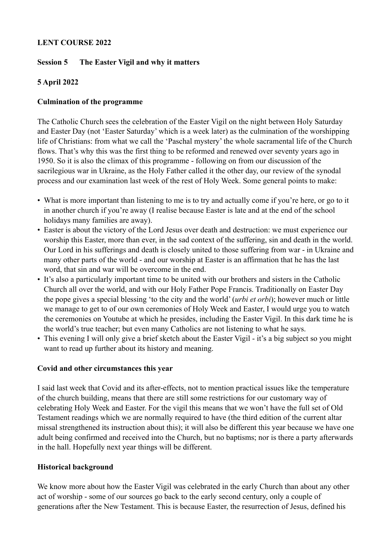#### **LENT COURSE 2022**

### **Session 5 The Easter Vigil and why it matters**

# **5 April 2022**

#### **Culmination of the programme**

The Catholic Church sees the celebration of the Easter Vigil on the night between Holy Saturday and Easter Day (not 'Easter Saturday' which is a week later) as the culmination of the worshipping life of Christians: from what we call the 'Paschal mystery' the whole sacramental life of the Church flows. That's why this was the first thing to be reformed and renewed over seventy years ago in 1950. So it is also the climax of this programme - following on from our discussion of the sacrilegious war in Ukraine, as the Holy Father called it the other day, our review of the synodal process and our examination last week of the rest of Holy Week. Some general points to make:

- What is more important than listening to me is to try and actually come if you're here, or go to it in another church if you're away (I realise because Easter is late and at the end of the school holidays many families are away).
- Easter is about the victory of the Lord Jesus over death and destruction: we must experience our worship this Easter, more than ever, in the sad context of the suffering, sin and death in the world. Our Lord in his sufferings and death is closely united to those suffering from war - in Ukraine and many other parts of the world - and our worship at Easter is an affirmation that he has the last word, that sin and war will be overcome in the end.
- It's also a particularly important time to be united with our brothers and sisters in the Catholic Church all over the world, and with our Holy Father Pope Francis. Traditionally on Easter Day the pope gives a special blessing 'to the city and the world' (*urbi et orbi*); however much or little we manage to get to of our own ceremonies of Holy Week and Easter, I would urge you to watch the ceremonies on Youtube at which he presides, including the Easter Vigil. In this dark time he is the world's true teacher; but even many Catholics are not listening to what he says.
- This evening I will only give a brief sketch about the Easter Vigil it's a big subject so you might want to read up further about its history and meaning.

#### **Covid and other circumstances this year**

I said last week that Covid and its after-effects, not to mention practical issues like the temperature of the church building, means that there are still some restrictions for our customary way of celebrating Holy Week and Easter. For the vigil this means that we won't have the full set of Old Testament readings which we are normally required to have (the third edition of the current altar missal strengthened its instruction about this); it will also be different this year because we have one adult being confirmed and received into the Church, but no baptisms; nor is there a party afterwards in the hall. Hopefully next year things will be different.

#### **Historical background**

We know more about how the Easter Vigil was celebrated in the early Church than about any other act of worship - some of our sources go back to the early second century, only a couple of generations after the New Testament. This is because Easter, the resurrection of Jesus, defined his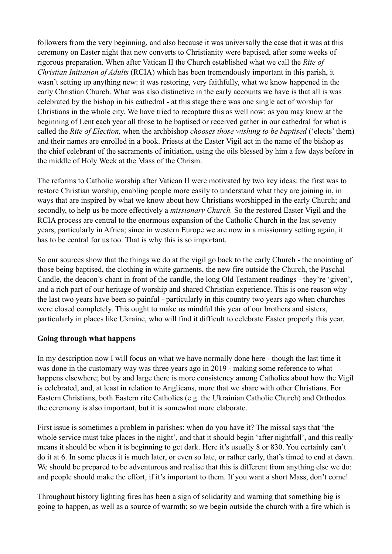followers from the very beginning, and also because it was universally the case that it was at this ceremony on Easter night that new converts to Christianity were baptised, after some weeks of rigorous preparation. When after Vatican II the Church established what we call the *Rite of Christian Initiation of Adults* (RCIA) which has been tremendously important in this parish, it wasn't setting up anything new: it was restoring, very faithfully, what we know happened in the early Christian Church. What was also distinctive in the early accounts we have is that all is was celebrated by the bishop in his cathedral - at this stage there was one single act of worship for Christians in the whole city. We have tried to recapture this as well now: as you may know at the beginning of Lent each year all those to be baptised or received gather in our cathedral for what is called the *Rite of Election,* when the archbishop *chooses those wishing to be baptised* ('elects' them) and their names are enrolled in a book. Priests at the Easter Vigil act in the name of the bishop as the chief celebrant of the sacraments of initiation, using the oils blessed by him a few days before in the middle of Holy Week at the Mass of the Chrism.

The reforms to Catholic worship after Vatican II were motivated by two key ideas: the first was to restore Christian worship, enabling people more easily to understand what they are joining in, in ways that are inspired by what we know about how Christians worshipped in the early Church; and secondly, to help us be more effectively a *missionary Church.* So the restored Easter Vigil and the RCIA process are central to the enormous expansion of the Catholic Church in the last seventy years, particularly in Africa; since in western Europe we are now in a missionary setting again, it has to be central for us too. That is why this is so important.

So our sources show that the things we do at the vigil go back to the early Church - the anointing of those being baptised, the clothing in white garments, the new fire outside the Church, the Paschal Candle, the deacon's chant in front of the candle, the long Old Testament readings - they're 'given', and a rich part of our heritage of worship and shared Christian experience. This is one reason why the last two years have been so painful - particularly in this country two years ago when churches were closed completely. This ought to make us mindful this year of our brothers and sisters, particularly in places like Ukraine, who will find it difficult to celebrate Easter properly this year.

#### **Going through what happens**

In my description now I will focus on what we have normally done here - though the last time it was done in the customary way was three years ago in 2019 - making some reference to what happens elsewhere; but by and large there is more consistency among Catholics about how the Vigil is celebrated, and, at least in relation to Anglicans, more that we share with other Christians. For Eastern Christians, both Eastern rite Catholics (e.g. the Ukrainian Catholic Church) and Orthodox the ceremony is also important, but it is somewhat more elaborate.

First issue is sometimes a problem in parishes: when do you have it? The missal says that 'the whole service must take places in the night', and that it should begin 'after nightfall', and this really means it should be when it is beginning to get dark. Here it's usually 8 or 830. You certainly can't do it at 6. In some places it is much later, or even so late, or rather early, that's timed to end at dawn. We should be prepared to be adventurous and realise that this is different from anything else we do: and people should make the effort, if it's important to them. If you want a short Mass, don't come!

Throughout history lighting fires has been a sign of solidarity and warning that something big is going to happen, as well as a source of warmth; so we begin outside the church with a fire which is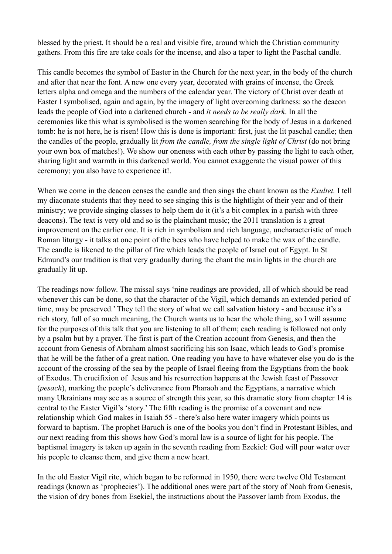blessed by the priest. It should be a real and visible fire, around which the Christian community gathers. From this fire are take coals for the incense, and also a taper to light the Paschal candle.

This candle becomes the symbol of Easter in the Church for the next year, in the body of the church and after that near the font. A new one every year, decorated with grains of incense, the Greek letters alpha and omega and the numbers of the calendar year. The victory of Christ over death at Easter I symbolised, again and again, by the imagery of light overcoming darkness: so the deacon leads the people of God into a darkened church - and *it needs to be really dark*. In all the ceremonies like this what is symbolised is the women searching for the body of Jesus in a darkened tomb: he is not here, he is risen! How this is done is important: first, just the lit paschal candle; then the candles of the people, gradually lit *from the candle, from the single light of Christ* (do not bring your own box of matches!). We show our oneness with each other by passing the light to each other, sharing light and warmth in this darkened world. You cannot exaggerate the visual power of this ceremony; you also have to experience it!.

When we come in the deacon censes the candle and then sings the chant known as the *Exultet.* I tell my diaconate students that they need to see singing this is the hightlight of their year and of their ministry; we provide singing classes to help them do it (it's a bit complex in a parish with three deacons). The text is very old and so is the plainchant music; the 2011 translation is a great improvement on the earlier one. It is rich in symbolism and rich language, uncharacteristic of much Roman liturgy - it talks at one point of the bees who have helped to make the wax of the candle. The candle is likened to the pillar of fire which leads the people of Israel out of Egypt. In St Edmund's our tradition is that very gradually during the chant the main lights in the church are gradually lit up.

The readings now follow. The missal says 'nine readings are provided, all of which should be read whenever this can be done, so that the character of the Vigil, which demands an extended period of time, may be preserved.' They tell the story of what we call salvation history - and because it's a rich story, full of so much meaning, the Church wants us to hear the whole thing, so I will assume for the purposes of this talk that you are listening to all of them; each reading is followed not only by a psalm but by a prayer. The first is part of the Creation account from Genesis, and then the account from Genesis of Abraham almost sacrificing his son Isaac, which leads to God's promise that he will be the father of a great nation. One reading you have to have whatever else you do is the account of the crossing of the sea by the people of Israel fleeing from the Egyptians from the book of Exodus. Th crucifixion of Jesus and his resurrection happens at the Jewish feast of Passover (*pesach*), marking the people's deliverance from Pharaoh and the Egyptians, a narrative which many Ukrainians may see as a source of strength this year, so this dramatic story from chapter 14 is central to the Easter Vigil's 'story.' The fifth reading is the promise of a covenant and new relationship which God makes in Isaiah 55 - there's also here water imagery which points us forward to baptism. The prophet Baruch is one of the books you don't find in Protestant Bibles, and our next reading from this shows how God's moral law is a source of light for his people. The baptismal imagery is taken up again in the seventh reading from Ezekiel: God will pour water over his people to cleanse them, and give them a new heart.

In the old Easter Vigil rite, which began to be reformed in 1950, there were twelve Old Testament readings (known as 'prophecies'). The additional ones were part of the story of Noah from Genesis, the vision of dry bones from Esekiel, the instructions about the Passover lamb from Exodus, the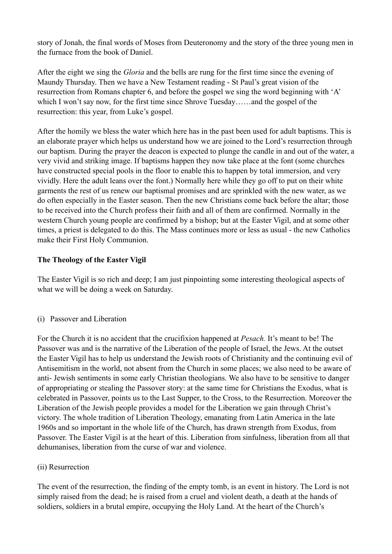story of Jonah, the final words of Moses from Deuteronomy and the story of the three young men in the furnace from the book of Daniel.

After the eight we sing the *Gloria* and the bells are rung for the first time since the evening of Maundy Thursday. Then we have a New Testament reading - St Paul's great vision of the resurrection from Romans chapter 6, and before the gospel we sing the word beginning with 'A' which I won't say now, for the first time since Shrove Tuesday......and the gospel of the resurrection: this year, from Luke's gospel.

After the homily we bless the water which here has in the past been used for adult baptisms. This is an elaborate prayer which helps us understand how we are joined to the Lord's resurrection through our baptism. During the prayer the deacon is expected to plunge the candle in and out of the water, a very vivid and striking image. If baptisms happen they now take place at the font (some churches have constructed special pools in the floor to enable this to happen by total immersion, and very vividly. Here the adult leans over the font.) Normally here while they go off to put on their white garments the rest of us renew our baptismal promises and are sprinkled with the new water, as we do often especially in the Easter season. Then the new Christians come back before the altar; those to be received into the Church profess their faith and all of them are confirmed. Normally in the western Church young people are confirmed by a bishop; but at the Easter Vigil, and at some other times, a priest is delegated to do this. The Mass continues more or less as usual - the new Catholics make their First Holy Communion.

# **The Theology of the Easter Vigil**

The Easter Vigil is so rich and deep; I am just pinpointing some interesting theological aspects of what we will be doing a week on Saturday.

(i) Passover and Liberation

For the Church it is no accident that the crucifixion happened at *Pesach.* It's meant to be! The Passover was and is the narrative of the Liberation of the people of Israel, the Jews. At the outset the Easter Vigil has to help us understand the Jewish roots of Christianity and the continuing evil of Antisemitism in the world, not absent from the Church in some places; we also need to be aware of anti- Jewish sentiments in some early Christian theologians. We also have to be sensitive to danger of appropriating or stealing the Passover story: at the same time for Christians the Exodus, what is celebrated in Passover, points us to the Last Supper, to the Cross, to the Resurrection. Moreover the Liberation of the Jewish people provides a model for the Liberation we gain through Christ's victory. The whole tradition of Liberation Theology, emanating from Latin America in the late 1960s and so important in the whole life of the Church, has drawn strength from Exodus, from Passover. The Easter Vigil is at the heart of this. Liberation from sinfulness, liberation from all that dehumanises, liberation from the curse of war and violence.

# (ii) Resurrection

The event of the resurrection, the finding of the empty tomb, is an event in history. The Lord is not simply raised from the dead; he is raised from a cruel and violent death, a death at the hands of soldiers, soldiers in a brutal empire, occupying the Holy Land. At the heart of the Church's